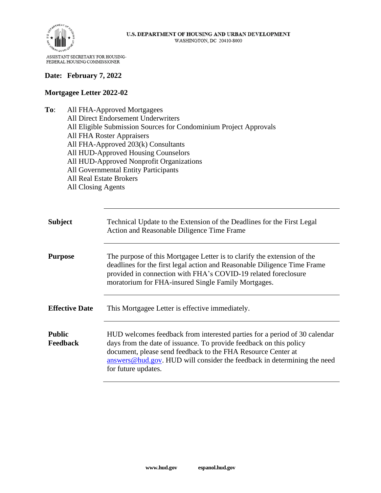

## **Date: February 7, 2022**

## **Mortgagee Letter 2022-02**

**To**: All FHA-Approved Mortgagees All Direct Endorsement Underwriters All Eligible Submission Sources for Condominium Project Approvals All FHA Roster Appraisers All FHA-Approved 203(k) Consultants All HUD-Approved Housing Counselors All HUD-Approved Nonprofit Organizations All Governmental Entity Participants All Real Estate Brokers All Closing Agents

| <b>Subject</b>                   | Technical Update to the Extension of the Deadlines for the First Legal<br>Action and Reasonable Diligence Time Frame                                                                                                                                                                                              |
|----------------------------------|-------------------------------------------------------------------------------------------------------------------------------------------------------------------------------------------------------------------------------------------------------------------------------------------------------------------|
| <b>Purpose</b>                   | The purpose of this Mortgagee Letter is to clarify the extension of the<br>deadlines for the first legal action and Reasonable Diligence Time Frame<br>provided in connection with FHA's COVID-19 related foreclosure<br>moratorium for FHA-insured Single Family Mortgages.                                      |
| <b>Effective Date</b>            | This Mortgagee Letter is effective immediately.                                                                                                                                                                                                                                                                   |
| <b>Public</b><br><b>Feedback</b> | HUD welcomes feedback from interested parties for a period of 30 calendar<br>days from the date of issuance. To provide feedback on this policy<br>document, please send feedback to the FHA Resource Center at<br>answers@hud.gov. HUD will consider the feedback in determining the need<br>for future updates. |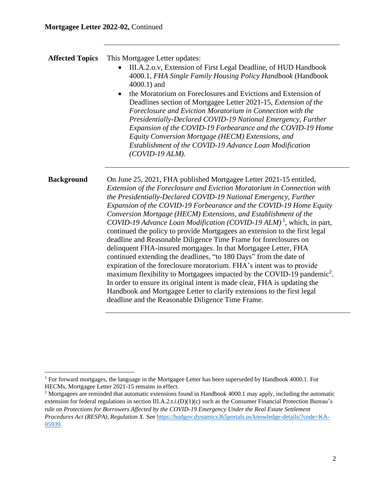| <b>Affected Topics</b> | This Mortgagee Letter updates:<br>III.A.2.o.v, Extension of First Legal Deadline, of HUD Handbook<br>4000.1, FHA Single Family Housing Policy Handbook (Handbook<br>4000.1) and<br>the Moratorium on Foreclosures and Evictions and Extension of<br>Deadlines section of Mortgagee Letter 2021-15, Extension of the<br>Foreclosure and Eviction Moratorium in Connection with the<br>Presidentially-Declared COVID-19 National Emergency, Further<br>Expansion of the COVID-19 Forbearance and the COVID-19 Home<br>Equity Conversion Mortgage (HECM) Extensions, and<br>Establishment of the COVID-19 Advance Loan Modification<br>$(COVID-19 ALM)$ .                                                                                                                                                                                                                                                                                                                                                                                                                                                              |
|------------------------|---------------------------------------------------------------------------------------------------------------------------------------------------------------------------------------------------------------------------------------------------------------------------------------------------------------------------------------------------------------------------------------------------------------------------------------------------------------------------------------------------------------------------------------------------------------------------------------------------------------------------------------------------------------------------------------------------------------------------------------------------------------------------------------------------------------------------------------------------------------------------------------------------------------------------------------------------------------------------------------------------------------------------------------------------------------------------------------------------------------------|
| <b>Background</b>      | On June 25, 2021, FHA published Mortgagee Letter 2021-15 entitled,<br>Extension of the Foreclosure and Eviction Moratorium in Connection with<br>the Presidentially-Declared COVID-19 National Emergency, Further<br>Expansion of the COVID-19 Forbearance and the COVID-19 Home Equity<br>Conversion Mortgage (HECM) Extensions, and Establishment of the<br>COVID-19 Advance Loan Modification (COVID-19 ALM) <sup>1</sup> , which, in part,<br>continued the policy to provide Mortgagees an extension to the first legal<br>deadline and Reasonable Diligence Time Frame for foreclosures on<br>delinquent FHA-insured mortgages. In that Mortgagee Letter, FHA<br>continued extending the deadlines, "to 180 Days" from the date of<br>expiration of the foreclosure moratorium. FHA's intent was to provide<br>maximum flexibility to Mortgagees impacted by the COVID-19 pandemic <sup>2</sup> .<br>In order to ensure its original intent is made clear, FHA is updating the<br>Handbook and Mortgagee Letter to clarify extensions to the first legal<br>deadline and the Reasonable Diligence Time Frame. |

<sup>&</sup>lt;sup>1</sup> For forward mortgages, the language in the Mortgagee Letter has been superseded by Handbook 4000.1. For HECMs, Mortgagee Letter 2021-15 remains in effect.

<sup>&</sup>lt;sup>2</sup> Mortgagees are reminded that automatic extensions found in Handbook 4000.1 may apply, including the automatic extension for federal regulations in section III.A.2.t.i.(D)(1)(c) such as the Consumer Financial Protection Bureau's rule on *Protections for Borrowers Affected by the COVID-19 Emergency Under the Real Estate Settlement Procedures Act (RESPA), Regulation X.* See [https://hudgov.dynamics365portals.us/knowledge-details/?code=KA-](https://hudgov.dynamics365portals.us/knowledge-details/?code=KA-05939)[05939.](https://hudgov.dynamics365portals.us/knowledge-details/?code=KA-05939)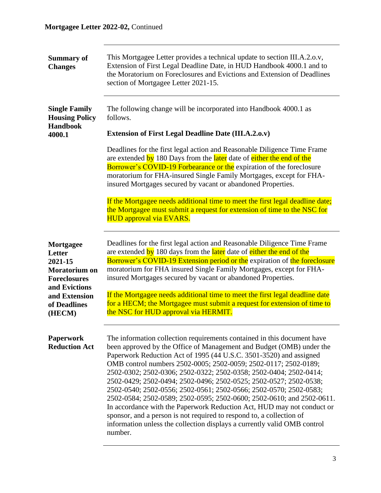| <b>Summary of</b><br><b>Changes</b>                                                                                      | This Mortgagee Letter provides a technical update to section III.A.2.o.v,<br>Extension of First Legal Deadline Date, in HUD Handbook 4000.1 and to<br>the Moratorium on Foreclosures and Evictions and Extension of Deadlines<br>section of Mortgagee Letter 2021-15.                                                                                                                                                                                                                                                                                                                                                                                                                                                                                                                                                     |
|--------------------------------------------------------------------------------------------------------------------------|---------------------------------------------------------------------------------------------------------------------------------------------------------------------------------------------------------------------------------------------------------------------------------------------------------------------------------------------------------------------------------------------------------------------------------------------------------------------------------------------------------------------------------------------------------------------------------------------------------------------------------------------------------------------------------------------------------------------------------------------------------------------------------------------------------------------------|
| <b>Single Family</b><br><b>Housing Policy</b><br><b>Handbook</b>                                                         | The following change will be incorporated into Handbook 4000.1 as<br>follows.                                                                                                                                                                                                                                                                                                                                                                                                                                                                                                                                                                                                                                                                                                                                             |
| 4000.1                                                                                                                   | <b>Extension of First Legal Deadline Date (III.A.2.o.v)</b>                                                                                                                                                                                                                                                                                                                                                                                                                                                                                                                                                                                                                                                                                                                                                               |
|                                                                                                                          | Deadlines for the first legal action and Reasonable Diligence Time Frame<br>are extended by 180 Days from the later date of either the end of the<br><b>Borrower's COVID-19 Forbearance or the expiration of the foreclosure</b><br>moratorium for FHA-insured Single Family Mortgages, except for FHA-<br>insured Mortgages secured by vacant or abandoned Properties.                                                                                                                                                                                                                                                                                                                                                                                                                                                   |
|                                                                                                                          | If the Mortgagee needs additional time to meet the first legal deadline date;<br>the Mortgagee must submit a request for extension of time to the NSC for<br><b>HUD approval via EVARS.</b>                                                                                                                                                                                                                                                                                                                                                                                                                                                                                                                                                                                                                               |
| Mortgagee<br>Letter<br>2021-15<br>Moratorium on<br><b>Foreclosures</b><br>and Evictions<br>and Extension<br>of Deadlines | Deadlines for the first legal action and Reasonable Diligence Time Frame<br>are extended by 180 days from the later date of either the end of the<br>Borrower's COVID-19 Extension period or the expiration of the foreclosure<br>moratorium for FHA insured Single Family Mortgages, except for FHA-<br>insured Mortgages secured by vacant or abandoned Properties.<br>If the Mortgagee needs additional time to meet the first legal deadline date<br>for a HECM; the Mortgagee must submit a request for extension of time to<br>the NSC for HUD approval via HERMIT.                                                                                                                                                                                                                                                 |
| (HECM)                                                                                                                   |                                                                                                                                                                                                                                                                                                                                                                                                                                                                                                                                                                                                                                                                                                                                                                                                                           |
| <b>Paperwork</b><br><b>Reduction Act</b>                                                                                 | The information collection requirements contained in this document have<br>been approved by the Office of Management and Budget (OMB) under the<br>Paperwork Reduction Act of 1995 (44 U.S.C. 3501-3520) and assigned<br>OMB control numbers 2502-0005; 2502-0059; 2502-0117; 2502-0189;<br>2502-0302; 2502-0306; 2502-0322; 2502-0358; 2502-0404; 2502-0414;<br>2502-0429; 2502-0494; 2502-0496; 2502-0525; 2502-0527; 2502-0538;<br>2502-0540; 2502-0556; 2502-0561; 2502-0566; 2502-0570; 2502-0583;<br>2502-0584; 2502-0589; 2502-0595; 2502-0600; 2502-0610; and 2502-0611.<br>In accordance with the Paperwork Reduction Act, HUD may not conduct or<br>sponsor, and a person is not required to respond to, a collection of<br>information unless the collection displays a currently valid OMB control<br>number. |